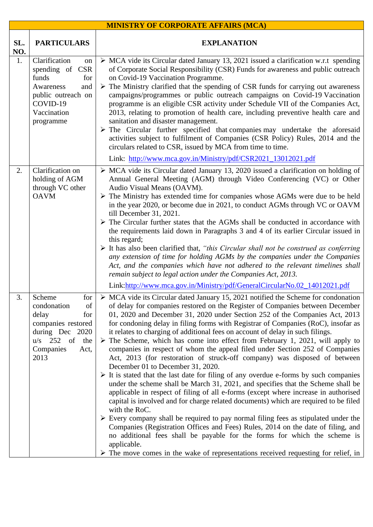| <b>MINISTRY OF CORPORATE AFFAIRS (MCA)</b> |                                                                                                                                                 |                                                                                                                                                                                                                                                                                                                                                                                                                                                                                                                                                                                                                                                                                                                                                                                                                                                                                                                                                                                                                                                                                                                                                                                                                                                                                                                                                                                                                                                                                                                  |  |  |
|--------------------------------------------|-------------------------------------------------------------------------------------------------------------------------------------------------|------------------------------------------------------------------------------------------------------------------------------------------------------------------------------------------------------------------------------------------------------------------------------------------------------------------------------------------------------------------------------------------------------------------------------------------------------------------------------------------------------------------------------------------------------------------------------------------------------------------------------------------------------------------------------------------------------------------------------------------------------------------------------------------------------------------------------------------------------------------------------------------------------------------------------------------------------------------------------------------------------------------------------------------------------------------------------------------------------------------------------------------------------------------------------------------------------------------------------------------------------------------------------------------------------------------------------------------------------------------------------------------------------------------------------------------------------------------------------------------------------------------|--|--|
| SL.<br>NO.                                 | <b>PARTICULARS</b>                                                                                                                              | <b>EXPLANATION</b>                                                                                                                                                                                                                                                                                                                                                                                                                                                                                                                                                                                                                                                                                                                                                                                                                                                                                                                                                                                                                                                                                                                                                                                                                                                                                                                                                                                                                                                                                               |  |  |
| 1.                                         | Clarification<br>on<br>spending of CSR<br>funds<br>for<br>Awareness<br>and<br>public outreach on<br>COVID-19<br>Vaccination<br>programme        | $\triangleright$ MCA vide its Circular dated January 13, 2021 issued a clarification w.r.t spending<br>of Corporate Social Responsibility (CSR) Funds for awareness and public outreach<br>on Covid-19 Vaccination Programme.<br>$\triangleright$ The Ministry clarified that the spending of CSR funds for carrying out awareness<br>campaigns/programmes or public outreach campaigns on Covid-19 Vaccination<br>programme is an eligible CSR activity under Schedule VII of the Companies Act,<br>2013, relating to promotion of health care, including preventive health care and<br>sanitation and disaster management.<br>$\triangleright$ The Circular further specified that companies may undertake the aforesaid<br>activities subject to fulfilment of Companies (CSR Policy) Rules, 2014 and the<br>circulars related to CSR, issued by MCA from time to time.<br>Link: http://www.mca.gov.in/Ministry/pdf/CSR2021_13012021.pdf                                                                                                                                                                                                                                                                                                                                                                                                                                                                                                                                                                      |  |  |
| 2.                                         | Clarification on                                                                                                                                | $\triangleright$ MCA vide its Circular dated January 13, 2020 issued a clarification on holding of                                                                                                                                                                                                                                                                                                                                                                                                                                                                                                                                                                                                                                                                                                                                                                                                                                                                                                                                                                                                                                                                                                                                                                                                                                                                                                                                                                                                               |  |  |
|                                            | holding of AGM<br>through VC other<br><b>OAVM</b>                                                                                               | Annual General Meeting (AGM) through Video Conferencing (VC) or Other<br>Audio Visual Means (OAVM).<br>$\triangleright$ The Ministry has extended time for companies whose AGMs were due to be held<br>in the year 2020, or become due in 2021, to conduct AGMs through VC or OAVM<br>till December 31, 2021.<br>$\triangleright$ The Circular further states that the AGMs shall be conducted in accordance with<br>the requirements laid down in Paragraphs 3 and 4 of its earlier Circular issued in<br>this regard;<br>$\triangleright$ It has also been clarified that, "this Circular shall not be construed as conferring<br>any extension of time for holding AGMs by the companies under the Companies<br>Act, and the companies which have not adhered to the relevant timelines shall<br>remain subject to legal action under the Companies Act, 2013.<br>Link:http://www.mca.gov.in/Ministry/pdf/GeneralCircularNo.02_14012021.pdf                                                                                                                                                                                                                                                                                                                                                                                                                                                                                                                                                                   |  |  |
| 3.                                         | Scheme<br>for<br>condonation<br>of<br>delay<br>for<br>companies restored<br>during Dec 2020<br>$u/s$ 252 of<br>the<br>Companies<br>Act,<br>2013 | $\triangleright$ MCA vide its Circular dated January 15, 2021 notified the Scheme for condonation<br>of delay for companies restored on the Register of Companies between December<br>01, 2020 and December 31, 2020 under Section 252 of the Companies Act, 2013<br>for condoning delay in filing forms with Registrar of Companies (RoC), insofar as<br>it relates to charging of additional fees on account of delay in such filings.<br>$\triangleright$ The Scheme, which has come into effect from February 1, 2021, will apply to<br>companies in respect of whom the appeal filed under Section 252 of Companies<br>Act, 2013 (for restoration of struck-off company) was disposed of between<br>December 01 to December 31, 2020.<br>$\triangleright$ It is stated that the last date for filing of any overdue e-forms by such companies<br>under the scheme shall be March 31, 2021, and specifies that the Scheme shall be<br>applicable in respect of filing of all e-forms (except where increase in authorised<br>capital is involved and for charge related documents) which are required to be filed<br>with the RoC.<br>$\triangleright$ Every company shall be required to pay normal filing fees as stipulated under the<br>Companies (Registration Offices and Fees) Rules, 2014 on the date of filing, and<br>no additional fees shall be payable for the forms for which the scheme is<br>applicable.<br>The move comes in the wake of representations received requesting for relief, in |  |  |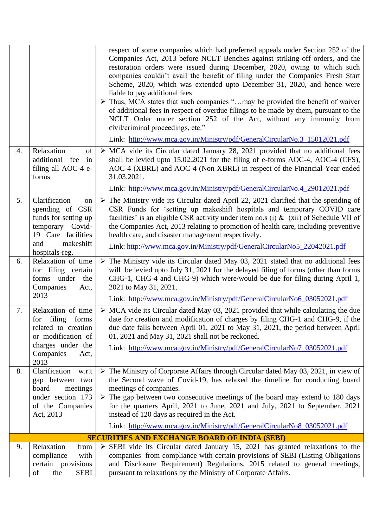|    |                                                                                                                                             | respect of some companies which had preferred appeals under Section 252 of the<br>Companies Act, 2013 before NCLT Benches against striking-off orders, and the<br>restoration orders were issued during December, 2020, owing to which such<br>companies couldn't avail the benefit of filing under the Companies Fresh Start<br>Scheme, 2020, which was extended upto December 31, 2020, and hence were<br>liable to pay additional fees<br>> Thus, MCA states that such companies "may be provided the benefit of waiver<br>of additional fees in respect of overdue filings to be made by them, pursuant to the<br>NCLT Order under section 252 of the Act, without any immunity from<br>civil/criminal proceedings, etc."<br>Link: http://www.mca.gov.in/Ministry/pdf/GeneralCircularNo.3_15012021.pdf |
|----|---------------------------------------------------------------------------------------------------------------------------------------------|------------------------------------------------------------------------------------------------------------------------------------------------------------------------------------------------------------------------------------------------------------------------------------------------------------------------------------------------------------------------------------------------------------------------------------------------------------------------------------------------------------------------------------------------------------------------------------------------------------------------------------------------------------------------------------------------------------------------------------------------------------------------------------------------------------|
| 4. | Relaxation<br>of<br>additional fee<br>in<br>filing all AOC-4 e-<br>forms                                                                    | $\triangleright$ MCA vide its Circular dated January 28, 2021 provided that no additional fees<br>shall be levied upto 15.02.2021 for the filing of e-forms AOC-4, AOC-4 (CFS),<br>AOC-4 (XBRL) and AOC-4 (Non XBRL) in respect of the Financial Year ended<br>31.03.2021.<br>Link: http://www.mca.gov.in/Ministry/pdf/GeneralCircularNo.4_29012021.pdf                                                                                                                                                                                                                                                                                                                                                                                                                                                    |
| 5. | Clarification<br>on<br>spending of CSR<br>funds for setting up<br>temporary Covid-<br>19 Care facilities<br>makeshift<br>and                | $\triangleright$ The Ministry vide its Circular dated April 22, 2021 clarified that the spending of<br>CSR Funds for 'setting up makeshift hospitals and temporary COVID care<br>facilities' is an eligible CSR activity under item no.s (i) $\&$ (xii) of Schedule VII of<br>the Companies Act, 2013 relating to promotion of health care, including preventive<br>health care, and disaster management respectively.<br>Link: http://www.mca.gov.in/Ministry/pdf/GeneralCircularNo5_22042021.pdf                                                                                                                                                                                                                                                                                                         |
| 6. | hospitals-reg.<br>Relaxation of time<br>for filing certain<br>forms under<br>the<br>Companies<br>Act,<br>2013                               | $\triangleright$ The Ministry vide its Circular dated May 03, 2021 stated that no additional fees<br>will be levied upto July 31, 2021 for the delayed filing of forms (other than forms<br>CHG-1, CHG-4 and CHG-9) which were/would be due for filing during April 1,<br>2021 to May 31, 2021.<br>Link: http://www.mca.gov.in/Ministry/pdf/GeneralCircularNo6_03052021.pdf                                                                                                                                                                                                                                                                                                                                                                                                                                |
| 7. | Relaxation of time<br>filing<br>forms<br>for<br>related to creation<br>or modification of<br>charges under the<br>Companies<br>Act,<br>2013 | $\triangleright$ MCA vide its Circular dated May 03, 2021 provided that while calculating the due<br>date for creation and modification of charges by filing CHG-1 and CHG-9, if the<br>due date falls between April 01, 2021 to May 31, 2021, the period between April<br>01, 2021 and May 31, 2021 shall not be reckoned.<br>Link: http://www.mca.gov.in/Ministry/pdf/GeneralCircularNo7_03052021.pdf                                                                                                                                                                                                                                                                                                                                                                                                    |
| 8. | Clarification<br>w.r.t<br>gap between two<br>board<br>meetings<br>under section 173<br>of the Companies<br>Act, 2013                        | $\triangleright$ The Ministry of Corporate Affairs through Circular dated May 03, 2021, in view of<br>the Second wave of Covid-19, has relaxed the timeline for conducting board<br>meetings of companies.<br>$\triangleright$ The gap between two consecutive meetings of the board may extend to 180 days<br>for the quarters April, 2021 to June, 2021 and July, 2021 to September, 2021<br>instead of 120 days as required in the Act.<br>Link: http://www.mca.gov.in/Ministry/pdf/GeneralCircularNo8_03052021.pdf                                                                                                                                                                                                                                                                                     |
|    |                                                                                                                                             | <b>SECURITIES AND EXCHANGE BOARD OF INDIA (SEBI)</b>                                                                                                                                                                                                                                                                                                                                                                                                                                                                                                                                                                                                                                                                                                                                                       |
| 9. | Relaxation<br>from<br>compliance<br>with<br>certain provisions<br>of<br>the<br><b>SEBI</b>                                                  | $\triangleright$ SEBI vide its Circular dated January 15, 2021 has granted relaxations to the<br>companies from compliance with certain provisions of SEBI (Listing Obligations<br>and Disclosure Requirement) Regulations, 2015 related to general meetings,<br>pursuant to relaxations by the Ministry of Corporate Affairs.                                                                                                                                                                                                                                                                                                                                                                                                                                                                             |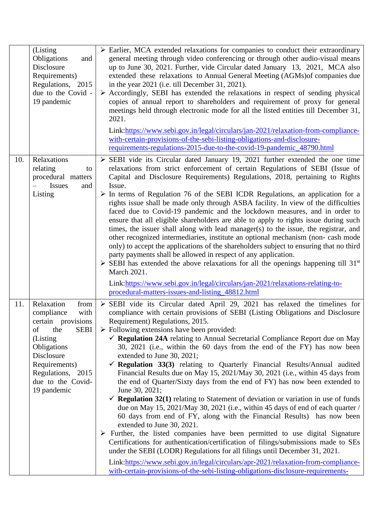|     | (Listing<br>Obligations<br>and<br>Disclosure<br>Requirements)<br>Regulations, 2015<br>due to the Covid -<br>19 pandemic                                                                                       | $\triangleright$ Earlier, MCA extended relaxations for companies to conduct their extraordinary<br>general meeting through video conferencing or through other audio-visual means<br>up to June 30, 2021. Further, vide Circular dated January 13, 2021, MCA also<br>extended these relaxations to Annual General Meeting (AGMs) of companies due<br>in the year 2021 (i.e. till December 31, 2021).<br>> Accordingly, SEBI has extended the relaxations in respect of sending physical<br>copies of annual report to shareholders and requirement of proxy for general<br>meetings held through electronic mode for all the listed entities till December 31,<br>2021.<br>Link:https://www.sebi.gov.in/legal/circulars/jan-2021/relaxation-from-compliance-<br>with-certain-provisions-of-the-sebi-listing-obligations-and-disclosure-<br>requirements-regulations-2015-due-to-the-covid-19-pandemic_48790.html                                                                                                                                                                                                                                                                                                                                                                                                                                                                                                                                                                                  |
|-----|---------------------------------------------------------------------------------------------------------------------------------------------------------------------------------------------------------------|---------------------------------------------------------------------------------------------------------------------------------------------------------------------------------------------------------------------------------------------------------------------------------------------------------------------------------------------------------------------------------------------------------------------------------------------------------------------------------------------------------------------------------------------------------------------------------------------------------------------------------------------------------------------------------------------------------------------------------------------------------------------------------------------------------------------------------------------------------------------------------------------------------------------------------------------------------------------------------------------------------------------------------------------------------------------------------------------------------------------------------------------------------------------------------------------------------------------------------------------------------------------------------------------------------------------------------------------------------------------------------------------------------------------------------------------------------------------------------------------------|
| 10. | Relaxations<br>relating<br>to<br>procedural matters<br><b>Issues</b><br>and<br>Listing                                                                                                                        | $\triangleright$ SEBI vide its Circular dated January 19, 2021 further extended the one time<br>relaxations from strict enforcement of certain Regulations of SEBI (Issue of<br>Capital and Disclosure Requirements) Regulations, 2018, pertaining to Rights<br>Issue.<br>$\triangleright$ In terms of Regulation 76 of the SEBI ICDR Regulations, an application for a<br>rights issue shall be made only through ASBA facility. In view of the difficulties<br>faced due to Covid-19 pandemic and the lockdown measures, and in order to<br>ensure that all eligible shareholders are able to apply to rights issue during such<br>times, the issuer shall along with lead manager(s) to the issue, the registrar, and<br>other recognized intermediaries, institute an optional mechanism (non-cash mode<br>only) to accept the applications of the shareholders subject to ensuring that no third<br>party payments shall be allowed in respect of any application.<br>$\triangleright$ SEBI has extended the above relaxations for all the openings happening till 31 <sup>st</sup><br>March 2021.                                                                                                                                                                                                                                                                                                                                                                                           |
|     |                                                                                                                                                                                                               | Link:https://www.sebi.gov.in/legal/circulars/jan-2021/relaxations-relating-to-<br>procedural-matters-issues-and-listing_48812.html                                                                                                                                                                                                                                                                                                                                                                                                                                                                                                                                                                                                                                                                                                                                                                                                                                                                                                                                                                                                                                                                                                                                                                                                                                                                                                                                                                |
| 11. | Relaxation<br>from<br>compliance<br>with<br>certain provisions<br><b>SEBI</b><br>of<br>the<br>(Listing<br>Obligations<br>Disclosure<br>Requirements)<br>Regulations, 2015<br>due to the Covid-<br>19 pandemic | $\triangleright$ SEBI vide its Circular dated April 29, 2021 has relaxed the timelines for<br>compliance with certain provisions of SEBI (Listing Obligations and Disclosure<br>Requirement) Regulations, 2015.<br>$\triangleright$ Following extensions have been provided:<br>$\checkmark$ Regulation 24A relating to Annual Secretarial Compliance Report due on May<br>30, 2021 (i.e., within the 60 days from the end of the FY) has now been<br>extended to June 30, 2021;<br>$\checkmark$ Regulation 33(3) relating to Quarterly Financial Results/Annual audited<br>Financial Results due on May 15, 2021/May 30, 2021 (i.e., within 45 days from<br>the end of Quarter/Sixty days from the end of FY) has now been extended to<br>June 30, 2021;<br>$\checkmark$ Regulation 32(1) relating to Statement of deviation or variation in use of funds<br>due on May 15, 2021/May 30, 2021 (i.e., within 45 days of end of each quarter /<br>60 days from end of FY, along with the Financial Results) has now been<br>extended to June 30, 2021.<br>$\triangleright$ Further, the listed companies have been permitted to use digital Signature<br>Certifications for authentication/certification of filings/submissions made to SEs<br>under the SEBI (LODR) Regulations for all filings until December 31, 2021.<br>Link:https://www.sebi.gov.in/legal/circulars/apr-2021/relaxation-from-compliance-<br>with-certain-provisions-of-the-sebi-listing-obligations-disclosure-requirements- |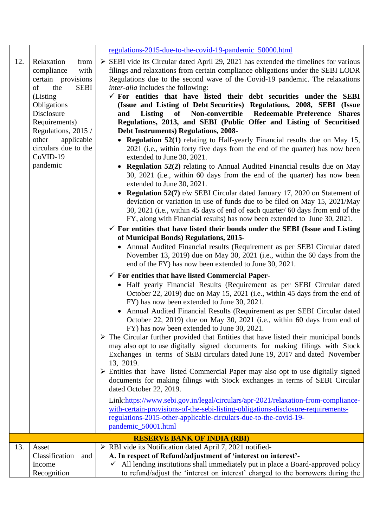|                                    |                                                                                                                                                                                                                                                       | regulations-2015-due-to-the-covid-19-pandemic_50000.html                                                                                                                                                                                                                                                                                                                                                                                                                                                                                                                                                                                                                                                                                                                                                                                                                                                                                                                                                                                                                                                                                                                                                                                                                                                                                                                                                                                                                                                                                                                                                                                                                                                                                                                                                                                                                                                                                                                                                                                                                                                                                                                                                                                                                                                                                                                                                                                                                                                                                                                                                                           |  |
|------------------------------------|-------------------------------------------------------------------------------------------------------------------------------------------------------------------------------------------------------------------------------------------------------|------------------------------------------------------------------------------------------------------------------------------------------------------------------------------------------------------------------------------------------------------------------------------------------------------------------------------------------------------------------------------------------------------------------------------------------------------------------------------------------------------------------------------------------------------------------------------------------------------------------------------------------------------------------------------------------------------------------------------------------------------------------------------------------------------------------------------------------------------------------------------------------------------------------------------------------------------------------------------------------------------------------------------------------------------------------------------------------------------------------------------------------------------------------------------------------------------------------------------------------------------------------------------------------------------------------------------------------------------------------------------------------------------------------------------------------------------------------------------------------------------------------------------------------------------------------------------------------------------------------------------------------------------------------------------------------------------------------------------------------------------------------------------------------------------------------------------------------------------------------------------------------------------------------------------------------------------------------------------------------------------------------------------------------------------------------------------------------------------------------------------------------------------------------------------------------------------------------------------------------------------------------------------------------------------------------------------------------------------------------------------------------------------------------------------------------------------------------------------------------------------------------------------------------------------------------------------------------------------------------------------------|--|
| 12.                                | Relaxation<br>from<br>compliance<br>with<br>certain provisions<br>of<br>the<br><b>SEBI</b><br>(Listing)<br>Obligations<br>Disclosure<br>Requirements)<br>Regulations, 2015 /<br>other<br>applicable<br>circulars due to the<br>$CoVID-19$<br>pandemic | $\triangleright$ SEBI vide its Circular dated April 29, 2021 has extended the timelines for various<br>filings and relaxations from certain compliance obligations under the SEBI LODR<br>Regulations due to the second wave of the Covid-19 pandemic. The relaxations<br><i>inter-alia</i> includes the following:<br>$\checkmark$ For entities that have listed their debt securities under the SEBI<br>(Issue and Listing of Debt Securities) Regulations, 2008, SEBI (Issue<br>Listing<br>of Non-convertible Redeemable Preference Shares<br>and<br>Regulations, 2013, and SEBI (Public Offer and Listing of Securitised<br><b>Debt Instruments) Regulations, 2008-</b><br>• Regulation 52(1) relating to Half-yearly Financial results due on May 15,<br>2021 (i.e., within forty five days from the end of the quarter) has now been<br>extended to June 30, 2021.<br>• Regulation 52(2) relating to Annual Audited Financial results due on May<br>30, 2021 (i.e., within 60 days from the end of the quarter) has now been<br>extended to June 30, 2021.<br><b>Regulation 52(7)</b> r/w SEBI Circular dated January 17, 2020 on Statement of<br>deviation or variation in use of funds due to be filed on May 15, 2021/May<br>30, 2021 (i.e., within 45 days of end of each quarter/ 60 days from end of the<br>FY, along with Financial results) has now been extended to June 30, 2021.<br>$\checkmark$ For entities that have listed their bonds under the SEBI (Issue and Listing<br>of Municipal Bonds) Regulations, 2015-<br>• Annual Audited Financial results (Requirement as per SEBI Circular dated<br>November 13, 2019) due on May 30, 2021 (i.e., within the 60 days from the<br>end of the FY) has now been extended to June 30, 2021.<br>$\checkmark$ For entities that have listed Commercial Paper-<br>• Half yearly Financial Results (Requirement as per SEBI Circular dated<br>October 22, 2019) due on May 15, 2021 (i.e., within 45 days from the end of<br>FY) has now been extended to June 30, 2021.<br>Annual Audited Financial Results (Requirement as per SEBI Circular dated<br>October 22, 2019) due on May 30, 2021 (i.e., within 60 days from end of<br>FY) has now been extended to June 30, 2021.<br>$\triangleright$ The Circular further provided that Entities that have listed their municipal bonds<br>may also opt to use digitally signed documents for making filings with Stock<br>Exchanges in terms of SEBI circulars dated June 19, 2017 and dated November<br>13, 2019.<br>$\triangleright$ Entities that have listed Commercial Paper may also opt to use digitally signed |  |
|                                    |                                                                                                                                                                                                                                                       | documents for making filings with Stock exchanges in terms of SEBI Circular<br>dated October 22, 2019.                                                                                                                                                                                                                                                                                                                                                                                                                                                                                                                                                                                                                                                                                                                                                                                                                                                                                                                                                                                                                                                                                                                                                                                                                                                                                                                                                                                                                                                                                                                                                                                                                                                                                                                                                                                                                                                                                                                                                                                                                                                                                                                                                                                                                                                                                                                                                                                                                                                                                                                             |  |
|                                    |                                                                                                                                                                                                                                                       | Link:https://www.sebi.gov.in/legal/circulars/apr-2021/relaxation-from-compliance-<br>with-certain-provisions-of-the-sebi-listing-obligations-disclosure-requirements-<br>regulations-2015-other-applicable-circulars-due-to-the-covid-19-<br>pandemic_50001.html                                                                                                                                                                                                                                                                                                                                                                                                                                                                                                                                                                                                                                                                                                                                                                                                                                                                                                                                                                                                                                                                                                                                                                                                                                                                                                                                                                                                                                                                                                                                                                                                                                                                                                                                                                                                                                                                                                                                                                                                                                                                                                                                                                                                                                                                                                                                                                   |  |
| <b>RESERVE BANK OF INDIA (RBI)</b> |                                                                                                                                                                                                                                                       |                                                                                                                                                                                                                                                                                                                                                                                                                                                                                                                                                                                                                                                                                                                                                                                                                                                                                                                                                                                                                                                                                                                                                                                                                                                                                                                                                                                                                                                                                                                                                                                                                                                                                                                                                                                                                                                                                                                                                                                                                                                                                                                                                                                                                                                                                                                                                                                                                                                                                                                                                                                                                                    |  |
| 13.                                | Asset<br>Classification<br>and<br>Income<br>Recognition                                                                                                                                                                                               | > RBI vide its Notification dated April 7, 2021 notified-<br>A. In respect of Refund/adjustment of 'interest on interest'-<br>All lending institutions shall immediately put in place a Board-approved policy<br>$\checkmark$<br>to refund/adjust the 'interest on interest' charged to the borrowers during the                                                                                                                                                                                                                                                                                                                                                                                                                                                                                                                                                                                                                                                                                                                                                                                                                                                                                                                                                                                                                                                                                                                                                                                                                                                                                                                                                                                                                                                                                                                                                                                                                                                                                                                                                                                                                                                                                                                                                                                                                                                                                                                                                                                                                                                                                                                   |  |